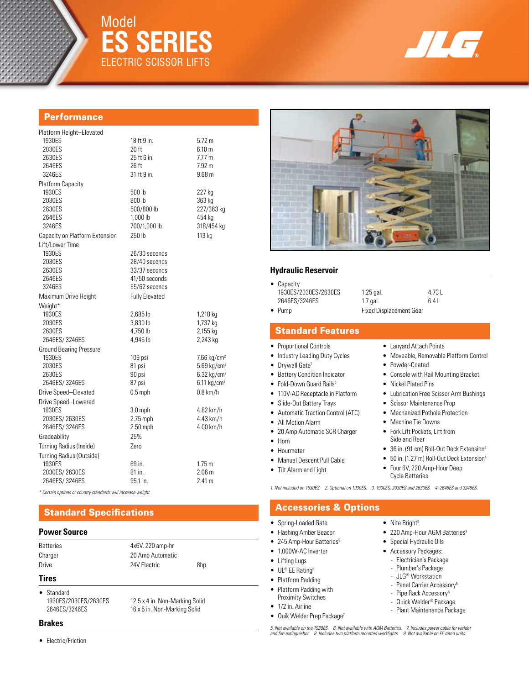

# Model **ES Series** ELECTRIC SCISSOR LIFTS



#### **Performance**

| Platform Height-Elevated       |                       |                           |  |  |
|--------------------------------|-----------------------|---------------------------|--|--|
| 1930ES                         | 18 ft 9 in.           | 5.72 m                    |  |  |
| 2030ES                         | 20 ft                 | 6.10 <sub>m</sub>         |  |  |
| 2630ES                         | 25 ft 6 in.           | 7.77 m                    |  |  |
| 2646ES                         | 26 ft                 | 7.92 <sub>m</sub>         |  |  |
| 3246ES                         | 31 ft 9 in.           | 9.68 <sub>m</sub>         |  |  |
| Platform Capacity              |                       |                           |  |  |
| 1930ES                         | 500 lb                | 227 kg                    |  |  |
| 2030ES                         | 800 lb                | 363 kg                    |  |  |
| 2630ES                         | 500/800 lb            | 227/363 kg                |  |  |
| 2646ES                         | 1,000 lb              | 454 kg                    |  |  |
| 3246ES                         | 700/1.000 lb          | 318/454 kg                |  |  |
| Capacity on Platform Extension | 250 lb                | 113 kg                    |  |  |
| Lift/Lower Time                |                       |                           |  |  |
| 1930ES                         | 26/30 seconds         |                           |  |  |
| 2030ES                         | 28/40 seconds         |                           |  |  |
| 2630ES                         | 33/37 seconds         |                           |  |  |
| 2646ES                         | 41/50 seconds         |                           |  |  |
| 3246ES                         | 55/62 seconds         |                           |  |  |
| Maximum Drive Height           | <b>Fully Elevated</b> |                           |  |  |
| Weight*                        |                       |                           |  |  |
| 1930ES                         | 2,685 lb              | 1,218 kg                  |  |  |
| 2030ES                         | 3,830 lb              | 1,737 kg                  |  |  |
| 2630ES                         | 4,750 lb              | 2,155 kg                  |  |  |
| 2646ES/3246ES                  | 4,945 lb              | 2,243 kg                  |  |  |
| <b>Ground Bearing Pressure</b> |                       |                           |  |  |
| 1930ES                         | 109 psi               | 7.66 $kg/cm2$             |  |  |
| 2030ES                         | 81 psi                | $5.69$ kg/cm <sup>2</sup> |  |  |
| 2630ES                         | 90 psi                | $6.32$ kg/cm <sup>2</sup> |  |  |
| 2646ES/3246ES                  | 87 psi                | $6.11$ kg/cm <sup>2</sup> |  |  |
| Drive Speed-Elevated           | $0.5$ mph             | $0.8$ km/h                |  |  |
| Drive Speed-Lowered            |                       |                           |  |  |
| 1930ES                         | $3.0$ mph             | 4.82 km/h                 |  |  |
| 2030ES/2630ES                  | $2.75$ mph            | 4.43 km/h                 |  |  |
| 2646ES/3246ES                  | 2.50 mph              | 4.00 km/h                 |  |  |
| Gradeability                   | 25%                   |                           |  |  |
| Turning Radius (Inside)        | Zero                  |                           |  |  |
| Turning Radius (Outside)       |                       |                           |  |  |
| 1930ES                         | 69 in.                | 1.75 m                    |  |  |
| 2030ES/2630ES                  | 81 in.                | 2.06 <sub>m</sub>         |  |  |
| 2646ES/3246ES                  | 95.1 in.              | 2.41 m                    |  |  |
|                                |                       |                           |  |  |

*\* Certain options or country standards will increase weight.*

## Standard Specifications

#### **Power Source**

| <b>Batteries</b> | 4x6V. 220 amp-hr |     |
|------------------|------------------|-----|
| Charger          | 20 Amp Automatic |     |
| Drive            | 24V Electric     | 8hp |

16 x 5 in. Non-Marking Solid

## **Tires**

• Standard<br>1930ES/2030ES/2630ES 1930ES/2030ES/2630ES 12.5 x 4 in. Non-Marking Solid<br>16 x 5 in. Non-Marking Solid 16

#### **Brakes**

• Electric/Friction



#### **Hydraulic Reservoir**

| • Capacity<br>1930ES/2030ES/2630ES<br>2646ES/3246ES | $1.25$ gal.<br>$1.7$ gal.      | 4.73 L<br>6.4L |
|-----------------------------------------------------|--------------------------------|----------------|
| $\bullet$ Pump                                      | <b>Fixed Displacement Gear</b> |                |

#### Standard Features

- Proportional Controls
- Industry Leading Duty Cycles
- Drywall Gate<sup>1</sup>
- Battery Condition Indicator
- Fold-Down Guard Rails<sup>2</sup>
- 110V-AC Receptacle in Platform
- Slide-Out Battery Trays
- Automatic Traction Control (ATC)
- All Motion Alarm
- 20 Amp Automatic SCR Charger
- Horn
- Hourmeter
- Manual Descent Pull Cable
- Tilt Alarm and Light

• Console with Rail Mounting Bracket • Nickel Plated Pins

• Lanyard Attach Points

• Powder-Coated

• Lubrication Free Scissor Arm Bushings

• Moveable, Removable Platform Control

- Scissor Maintenance Prop
- Mechanized Pothole Protection
- Machine Tie Downs
- Fork Lift Pockets, Lift from Side and Rear
- 36 in. (91 cm) Roll-Out Deck Extension<sup>3</sup>
- 50 in. (1.27 m) Roll-Out Deck Extension<sup>4</sup>
- Four 6V, 220 Amp-Hour Deep Cycle Batteries

*1. Not included on 1930ES. 2. Optional on 1930ES. 3. 1930ES, 2030ES and 2630ES. 4. 2646ES and 3246ES.*

### Accessories & Options

- Spring-Loaded Gate
- Flashing Amber Beacon
- 245 Amp-Hour Batteries<sup>5</sup>
- 1,000W-AC Inverter
- 
- Lifting Lugs
- UL® EE Rating6
- Platform Padding
- Platform Padding with Proximity Switches
- 
- 1/2 in. Airline
- Quik Welder Prep Package<sup>7</sup>
- Nite Bright $8$
- 220 Amp-Hour AGM Batteries<sup>9</sup>
- Special Hydraulic Oils
- Accessory Packages:
	- Electrician's Package
	- Plumber's Package
	- JLG® Workstation
	- Panel Carrier Accessory<sup>5</sup>
- Pipe Rack Accessory<sup>5</sup> - Quick Welder® Package
- 
- Plant Maintenance Package

*5. Not available on the 1930ES. 6. Not available with AGM Batteries. 7. Includes power cable for welder and fire extinguisher. 8. Includes two platform mounted worklights. 9. Not available on EE rated units.*